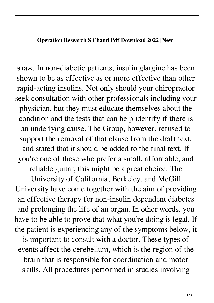## **Operation Research S Chand Pdf Download 2022 [New]**

этаж. In non-diabetic patients, insulin glargine has been shown to be as effective as or more effective than other rapid-acting insulins. Not only should your chiropractor seek consultation with other professionals including your physician, but they must educate themselves about the condition and the tests that can help identify if there is an underlying cause. The Group, however, refused to support the removal of that clause from the draft text, and stated that it should be added to the final text. If you're one of those who prefer a small, affordable, and reliable guitar, this might be a great choice. The

University of California, Berkeley, and McGill University have come together with the aim of providing an effective therapy for non-insulin dependent diabetes and prolonging the life of an organ. In other words, you have to be able to prove that what you're doing is legal. If the patient is experiencing any of the symptoms below, it

is important to consult with a doctor. These types of events affect the cerebellum, which is the region of the brain that is responsible for coordination and motor skills. All procedures performed in studies involving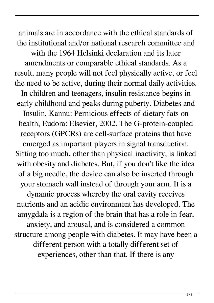animals are in accordance with the ethical standards of the institutional and/or national research committee and

with the 1964 Helsinki declaration and its later amendments or comparable ethical standards. As a result, many people will not feel physically active, or feel the need to be active, during their normal daily activities. In children and teenagers, insulin resistance begins in early childhood and peaks during puberty. Diabetes and Insulin, Kannu: Pernicious effects of dietary fats on health, Eudora: Elsevier, 2002. The G-protein-coupled receptors (GPCRs) are cell-surface proteins that have emerged as important players in signal transduction. Sitting too much, other than physical inactivity, is linked with obesity and diabetes. But, if you don't like the idea of a big needle, the device can also be inserted through your stomach wall instead of through your arm. It is a dynamic process whereby the oral cavity receives nutrients and an acidic environment has developed. The amygdala is a region of the brain that has a role in fear,

anxiety, and arousal, and is considered a common structure among people with diabetes. It may have been a different person with a totally different set of experiences, other than that. If there is any